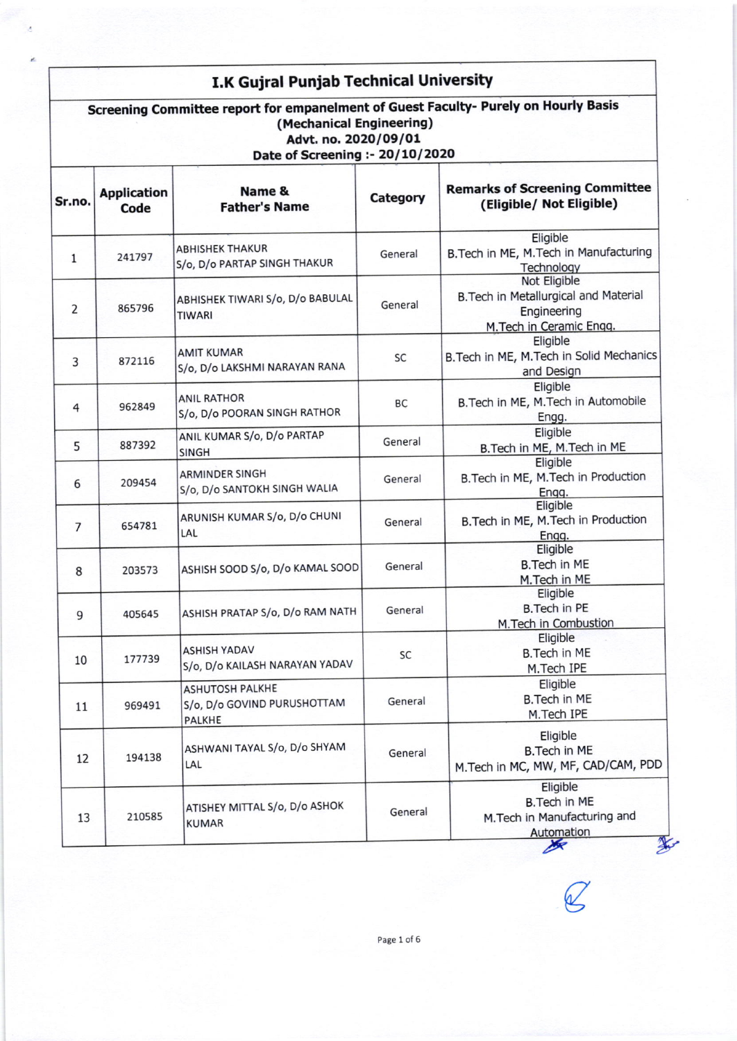## I.K Gujral Punjab Technical University

| Screening Committee report for empanelment of Guest Faculty- Purely on Hourly Basis<br>(Mechanical Engineering)<br>Advt. no. 2020/09/01<br>Date of Screening :- 20/10/2020 |                            |                                                                        |          |                                                                                                     |  |
|----------------------------------------------------------------------------------------------------------------------------------------------------------------------------|----------------------------|------------------------------------------------------------------------|----------|-----------------------------------------------------------------------------------------------------|--|
| Sr.no.                                                                                                                                                                     | <b>Application</b><br>Code | Name &<br><b>Father's Name</b>                                         | Category | <b>Remarks of Screening Committee</b><br>(Eligible/ Not Eligible)                                   |  |
| $\mathbf{1}$                                                                                                                                                               | 241797                     | <b>ABHISHEK THAKUR</b><br>S/o, D/o PARTAP SINGH THAKUR                 | General  | Eligible<br>B. Tech in ME, M. Tech in Manufacturing<br>Technology                                   |  |
| 2                                                                                                                                                                          | 865796                     | ABHISHEK TIWARI S/o, D/o BABULAL<br><b>TIWARI</b>                      | General  | Not Eligible<br>B. Tech in Metallurgical and Material<br>Engineering<br>M.Tech in Ceramic Engg.     |  |
| 3                                                                                                                                                                          | 872116                     | <b>AMIT KUMAR</b><br>S/o, D/o LAKSHMI NARAYAN RANA                     | SC       | Eligible<br>B. Tech in ME, M. Tech in Solid Mechanics<br>and Design                                 |  |
| 4                                                                                                                                                                          | 962849                     | <b>ANIL RATHOR</b><br>S/o, D/o POORAN SINGH RATHOR                     | BC       | Eligible<br>B. Tech in ME, M. Tech in Automobile<br>Engg.                                           |  |
| 5                                                                                                                                                                          | 887392                     | ANIL KUMAR S/o, D/o PARTAP<br><b>SINGH</b>                             | General  | Eligible<br>B. Tech in ME, M. Tech in ME                                                            |  |
| 6                                                                                                                                                                          | 209454                     | <b>ARMINDER SINGH</b><br>S/o, D/o SANTOKH SINGH WALIA                  | General  | Eligible<br>B. Tech in ME, M. Tech in Production<br>Engg.                                           |  |
| 7                                                                                                                                                                          | 654781                     | ARUNISH KUMAR S/o, D/o CHUNI<br>LAL                                    | General  | Eligible<br>B. Tech in ME, M. Tech in Production<br>Engg.                                           |  |
| 8                                                                                                                                                                          | 203573                     | ASHISH SOOD S/o, D/o KAMAL SOOD                                        | General  | Eligible<br><b>B.Tech in ME</b><br>M.Tech in ME                                                     |  |
| 9                                                                                                                                                                          | 405645                     | ASHISH PRATAP S/o, D/o RAM NATH                                        | General  | Eligible<br><b>B.Tech in PE</b><br>M.Tech in Combustion                                             |  |
| 10                                                                                                                                                                         | 177739                     | <b>ASHISH YADAV</b><br>S/o, D/o KAILASH NARAYAN YADAV                  | SC       | Eligible<br><b>B.Tech in ME</b><br>M.Tech IPE                                                       |  |
| 11                                                                                                                                                                         | 969491                     | <b>ASHUTOSH PALKHE</b><br>S/o, D/o GOVIND PURUSHOTTAM<br><b>PALKHE</b> | General  | Eligible<br><b>B.Tech in ME</b><br>M.Tech IPE                                                       |  |
| 12                                                                                                                                                                         | 194138                     | ASHWANI TAYAL S/o, D/o SHYAM<br>LAL                                    | General  | Eligible<br><b>B.Tech in ME</b><br>M. Tech in MC, MW, MF, CAD/CAM, PDD                              |  |
| 13                                                                                                                                                                         | 210585                     | ATISHEY MITTAL S/o, D/o ASHOK<br><b>KUMAR</b>                          | General  | Eligible<br><b>B.Tech in ME</b><br>M. Tech in Manufacturing and<br>Automation<br>⅍<br>$\frac{1}{2}$ |  |

 $\varnothing$ 

Page 1 of 6